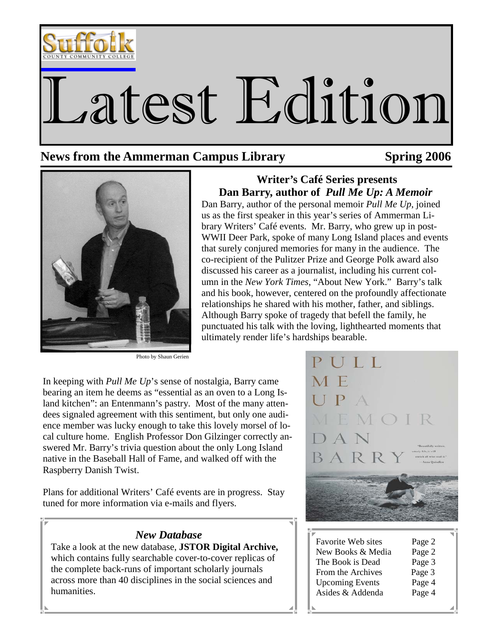

# Latest Edition

 **Writer's Café Series presents Dan Barry, author of** *Pull Me Up: A Memoir*  Dan Barry, author of the personal memoir *Pull Me Up*, joined us as the first speaker in this year's series of Ammerman Library Writers' Café events. Mr. Barry, who grew up in post-WWII Deer Park, spoke of many Long Island places and events that surely conjured memories for many in the audience. The co-recipient of the Pulitzer Prize and George Polk award also discussed his career as a journalist, including his current column in the *New York Times*, "About New York." Barry's talk and his book, however, centered on the profoundly affectionate relationships he shared with his mother, father, and siblings. Although Barry spoke of tragedy that befell the family, he punctuated his talk with the loving, lighthearted moments that

# **News from the Ammerman Campus Library 50 Spring 2006**



Photo by Shaun Gerien

In keeping with *Pull Me Up*'s sense of nostalgia, Barry came bearing an item he deems as "essential as an oven to a Long Island kitchen": an Entenmann's pastry. Most of the many attendees signaled agreement with this sentiment, but only one audience member was lucky enough to take this lovely morsel of local culture home. English Professor Don Gilzinger correctly answered Mr. Barry's trivia question about the only Long Island native in the Baseball Hall of Fame, and walked off with the Raspberry Danish Twist.

Plans for additional Writers' Café events are in progress. Stay tuned for more information via e-mails and flyers.

#### *New Database*

Take a look at the new database, **JSTOR Digital Archive,**  which contains fully searchable cover-to-cover replicas of the complete back-runs of important scholarly journals across more than 40 disciplines in the social sciences and humanities.



| <b>Favorite Web sites</b> | Page 2 |  |
|---------------------------|--------|--|
| New Books & Media         | Page 2 |  |
| The Book is Dead          | Page 3 |  |
| From the Archives         | Page 3 |  |
| <b>Upcoming Events</b>    | Page 4 |  |
| Asides & Addenda          | Page 4 |  |
|                           |        |  |
|                           |        |  |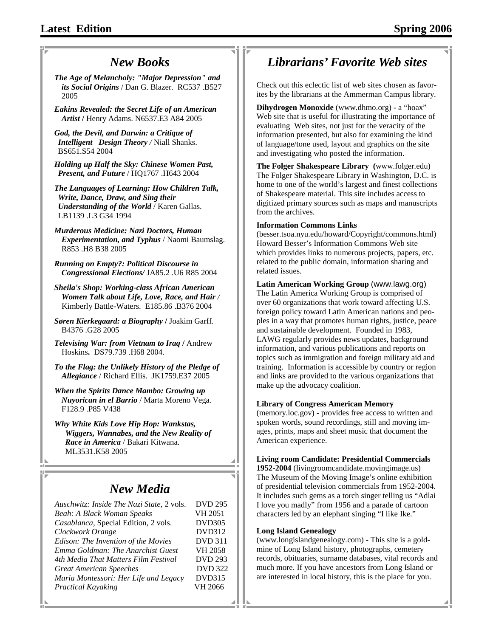# *New Books*

*The Age of Melancholy: "Major Depression" and its Social Origins* / Dan G. Blazer. RC537 .B527 2005

*Eakins Revealed: the Secret Life of an American Artist* **/** Henry Adams. N6537.E3 A84 2005

*God, the Devil, and Darwin: a Critique of Intelligent Design Theory /* Niall Shanks. BS651.S54 2004

*Holding up Half the Sky: Chinese Women Past, Present, and Future* / HQ1767 .H643 2004

*The Languages of Learning: How Children Talk, Write, Dance, Draw, and Sing their Understanding of the World* / Karen Gallas. LB1139 .L3 G34 1994

*Murderous Medicine: Nazi Doctors, Human Experimentation, and Typhus* / Naomi Baumslag. R853 .H8 B38 2005

*Running on Empty?: Political Discourse in Congressional Elections/* JA85.2 .U6 R85 2004

*Sheila's Shop: Working-class African American Women Talk about Life, Love, Race, and Hair /*  Kimberly Battle-Waters. E185.86 .B376 2004

*Søren Kierkegaard: a Biography* **/** Joakim Garff. B4376 .G28 2005

*Televising War: from Vietnam to Iraq* **/** Andrew Hoskins**.** DS79.739 .H68 2004.

*To the Flag: the Unlikely History of the Pledge of Allegiance* / Richard Ellis. JK1759.E37 2005

*When the Spirits Dance Mambo: Growing up Nuyorican in el Barrio* / Marta Moreno Vega. F128.9 .P85 V438

*Why White Kids Love Hip Hop: Wankstas, Wiggers, Wannabes, and the New Reality of Race in America* / Bakari Kitwana. ML3531.K58 2005

## *New Media*

| Auschwitz: Inside The Nazi State, 2 vols. | <b>DVD 295</b> |
|-------------------------------------------|----------------|
| Beah: A Black Woman Speaks                | VH 2051        |
| Casablanca, Special Edition, 2 vols.      | <b>DVD305</b>  |
| Clockwork Orange                          | <b>DVD312</b>  |
| Edison: The Invention of the Movies       | <b>DVD 311</b> |
| Emma Goldman: The Anarchist Guest         | <b>VH 2058</b> |
| 4th Media That Matters Film Festival      | <b>DVD 293</b> |
| <b>Great American Speeches</b>            | <b>DVD</b> 322 |
| Maria Montessori: Her Life and Legacy     | <b>DVD315</b>  |
| <b>Practical Kayaking</b>                 | VH 2066        |
|                                           |                |

# *Librarians' Favorite Web sites*

Check out this eclectic list of web sites chosen as favorites by the librarians at the Ammerman Campus library.

**Dihydrogen Monoxide** (www.dhmo.org) **-** a "hoax" Web site that is useful for illustrating the importance of evaluating Web sites, not just for the veracity of the information presented, but also for examining the kind of language/tone used, layout and graphics on the site and investigating who posted the information.

**The Folger Shakespeare Library (**www.folger.edu) The Folger Shakespeare Library in Washington, D.C. is home to one of the world's largest and finest collections of Shakespeare material. This site includes access to digitized primary sources such as maps and manuscripts from the archives.

#### **Information Commons Links**

(besser.tsoa.nyu.edu/howard/Copyright/commons.html) Howard Besser's Information Commons Web site which provides links to numerous projects, papers, etc. related to the public domain, information sharing and related issues.

**Latin American Working Group** (www.lawg.org) The Latin America Working Group is comprised of over 60 organizations that work toward affecting U.S. foreign policy toward Latin American nations and peoples in a way that promotes human rights, justice, peace and sustainable development. Founded in 1983, LAWG regularly provides news updates, background information, and various publications and reports on topics such as immigration and foreign military aid and training. Information is accessible by country or region and links are provided to the various organizations that make up the advocacy coalition.

#### **Library of Congress American Memory**

(memory.loc.gov) - provides free access to written and spoken words, sound recordings, still and moving images, prints, maps and sheet music that document the American experience.

**Living room Candidate: Presidential Commercials** 

**1952-2004** (livingroomcandidate.movingimage.us) The Museum of the Moving Image's online exhibition of presidential television commercials from 1952-2004. It includes such gems as a torch singer telling us "Adlai I love you madly" from 1956 and a parade of cartoon characters led by an elephant singing "I like Ike."

#### **Long Island Genealogy**

(www.longislandgenealogy.com) - This site is a goldmine of Long Island history, photographs, cemetery records, obituaries, surname databases, vital records and much more. If you have ancestors from Long Island or are interested in local history, this is the place for you.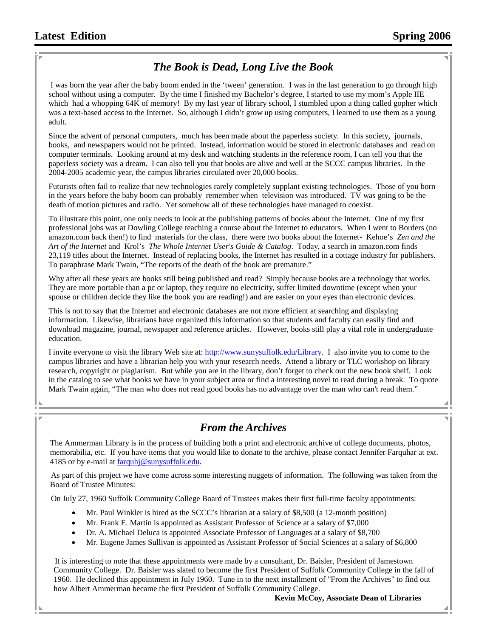### *The Book is Dead, Long Live the Book*

 I was born the year after the baby boom ended in the 'tween' generation. I was in the last generation to go through high school without using a computer. By the time I finished my Bachelor's degree, I started to use my mom's Apple IIE which had a whopping 64K of memory! By my last year of library school, I stumbled upon a thing called gopher which was a text-based access to the Internet. So, although I didn't grow up using computers, I learned to use them as a young adult.

Since the advent of personal computers, much has been made about the paperless society. In this society, journals, books, and newspapers would not be printed. Instead, information would be stored in electronic databases and read on computer terminals. Looking around at my desk and watching students in the reference room, I can tell you that the paperless society was a dream. I can also tell you that books are alive and well at the SCCC campus libraries. In the 2004-2005 academic year, the campus libraries circulated over 20,000 books.

Futurists often fail to realize that new technologies rarely completely supplant existing technologies. Those of you born in the years before the baby boom can probably remember when television was introduced. TV was going to be the death of motion pictures and radio. Yet somehow all of these technologies have managed to coexist.

To illustrate this point, one only needs to look at the publishing patterns of books about the Internet. One of my first professional jobs was at Dowling College teaching a course about the Internet to educators. When I went to Borders (no amazon.com back then!) to find materials for the class, there were two books about the Internet- Kehoe's *Zen and the Art of the Internet* and Krol's *The Whole Internet User's Guide & Catalog*. Today, a search in amazon.com finds 23,119 titles about the Internet. Instead of replacing books, the Internet has resulted in a cottage industry for publishers. To paraphrase Mark Twain, "The reports of the death of the book are premature."

Why after all these years are books still being published and read? Simply because books are a technology that works. They are more portable than a pc or laptop, they require no electricity, suffer limited downtime (except when your spouse or children decide they like the book you are reading!) and are easier on your eyes than electronic devices.

This is not to say that the Internet and electronic databases are not more efficient at searching and displaying information. Likewise, librarians have organized this information so that students and faculty can easily find and download magazine, journal, newspaper and reference articles. However, books still play a vital role in undergraduate education.

I invite everyone to visit the library Web site at: http://www.sunysuffolk.edu/Library. I also invite you to come to the campus libraries and have a librarian help you with your research needs. Attend a library or TLC workshop on library research, copyright or plagiarism. But while you are in the library, don't forget to check out the new book shelf. Look in the catalog to see what books we have in your subject area or find a interesting novel to read during a break. To quote Mark Twain again, "The man who does not read good books has no advantage over the man who can't read them."

#### *From the Archives*

The Ammerman Library is in the process of building both a print and electronic archive of college documents, photos, memorabilia, etc. If you have items that you would like to donate to the archive, please contact Jennifer Farquhar at ext. 4185 or by e-mail at farquhj@sunysuffolk.edu.

 As part of this project we have come across some interesting nuggets of information. The following was taken from the Board of Trustee Minutes:

On July 27, 1960 Suffolk Community College Board of Trustees makes their first full-time faculty appointments:

- Mr. Paul Winkler is hired as the SCCC's librarian at a salary of \$8,500 (a 12-month position)
- Mr. Frank E. Martin is appointed as Assistant Professor of Science at a salary of \$7,000
- Dr. A. Michael Deluca is appointed Associate Professor of Languages at a salary of \$8,700
- Mr. Eugene James Sullivan is appointed as Assistant Professor of Social Sciences at a salary of \$6,800

 It is interesting to note that these appointments were made by a consultant, Dr. Baisler, President of Jamestown Community College. Dr. Baisler was slated to become the first President of Suffolk Community College in the fall of 1960. He declined this appointment in July 1960. Tune in to the next installment of "From the Archives" to find out how Albert Ammerman became the first President of Suffolk Community College.

#### **Kevin McCoy, Associate Dean of Libraries**